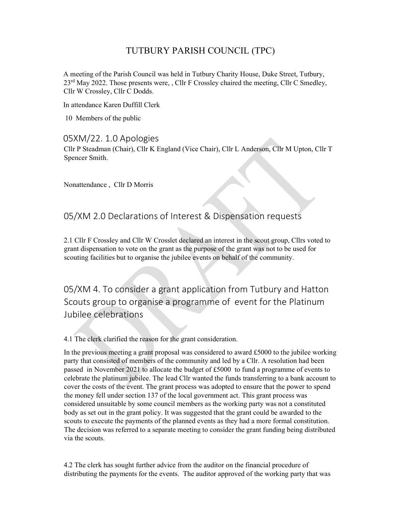## TUTBURY PARISH COUNCIL (TPC)

A meeting of the Parish Council was held in Tutbury Charity House, Duke Street, Tutbury, 23<sup>rd</sup> May 2022. Those presents were, , Cllr F Crossley chaired the meeting, Cllr C Smedley, Cllr W Crossley, Cllr C Dodds.

In attendance Karen Duffill Clerk

10 Members of the public

## 05XM/22. 1.0 Apologies

Cllr P Steadman (Chair), Cllr K England (Vice Chair), Cllr L Anderson, Cllr M Upton, Cllr T Spencer Smith.

Nonattendance , Cllr D Morris

## 05/XM 2.0 Declarations of Interest & Dispensation requests

2.1 Cllr F Crossley and Cllr W Crosslet declared an interest in the scout group, Cllrs voted to grant dispensation to vote on the grant as the purpose of the grant was not to be used for scouting facilities but to organise the jubilee events on behalf of the community.

05/XM 4. To consider a grant application from Tutbury and Hatton Scouts group to organise a programme of event for the Platinum Jubilee celebrations

4.1 The clerk clarified the reason for the grant consideration.

In the previous meeting a grant proposal was considered to award £5000 to the jubilee working party that consisted of members of the community and led by a Cllr. A resolution had been passed in November 2021 to allocate the budget of £5000 to fund a programme of events to celebrate the platinum jubilee. The lead Cllr wanted the funds transferring to a bank account to cover the costs of the event. The grant process was adopted to ensure that the power to spend the money fell under section 137 of the local government act. This grant process was considered unsuitable by some council members as the working party was not a constituted body as set out in the grant policy. It was suggested that the grant could be awarded to the scouts to execute the payments of the planned events as they had a more formal constitution. The decision was referred to a separate meeting to consider the grant funding being distributed via the scouts.

4.2 The clerk has sought further advice from the auditor on the financial procedure of distributing the payments for the events. The auditor approved of the working party that was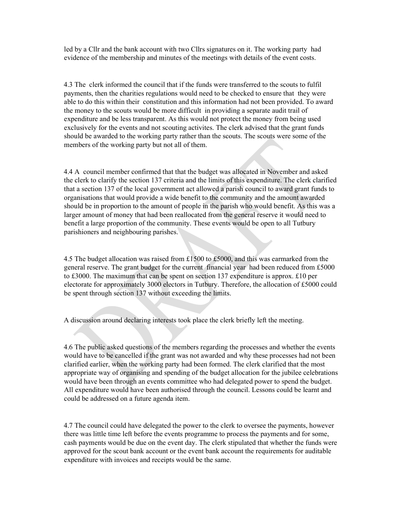led by a Cllr and the bank account with two Cllrs signatures on it. The working party had evidence of the membership and minutes of the meetings with details of the event costs.

4.3 The clerk informed the council that if the funds were transferred to the scouts to fulfil payments, then the charities regulations would need to be checked to ensure that they were able to do this within their constitution and this information had not been provided. To award the money to the scouts would be more difficult in providing a separate audit trail of expenditure and be less transparent. As this would not protect the money from being used exclusively for the events and not scouting activites. The clerk advised that the grant funds should be awarded to the working party rather than the scouts. The scouts were some of the members of the working party but not all of them.

4.4 A council member confirmed that that the budget was allocated in November and asked the clerk to clarify the section 137 criteria and the limits of this expenditure. The clerk clarified that a section 137 of the local government act allowed a parish council to award grant funds to organisations that would provide a wide benefit to the community and the amount awarded should be in proportion to the amount of people in the parish who would benefit. As this was a larger amount of money that had been reallocated from the general reserve it would need to benefit a large proportion of the community. These events would be open to all Tutbury parishioners and neighbouring parishes.

4.5 The budget allocation was raised from £1500 to £5000, and this was earmarked from the general reserve. The grant budget for the current financial year had been reduced from £5000 to £3000. The maximum that can be spent on section 137 expenditure is approx. £10 per electorate for approximately 3000 electors in Tutbury. Therefore, the allocation of £5000 could be spent through section 137 without exceeding the limits.

A discussion around declaring interests took place the clerk briefly left the meeting.

4.6 The public asked questions of the members regarding the processes and whether the events would have to be cancelled if the grant was not awarded and why these processes had not been clarified earlier, when the working party had been formed. The clerk clarified that the most appropriate way of organising and spending of the budget allocation for the jubilee celebrations would have been through an events committee who had delegated power to spend the budget. All expenditure would have been authorised through the council. Lessons could be learnt and could be addressed on a future agenda item.

4.7 The council could have delegated the power to the clerk to oversee the payments, however there was little time left before the events programme to process the payments and for some, cash payments would be due on the event day. The clerk stipulated that whether the funds were approved for the scout bank account or the event bank account the requirements for auditable expenditure with invoices and receipts would be the same.